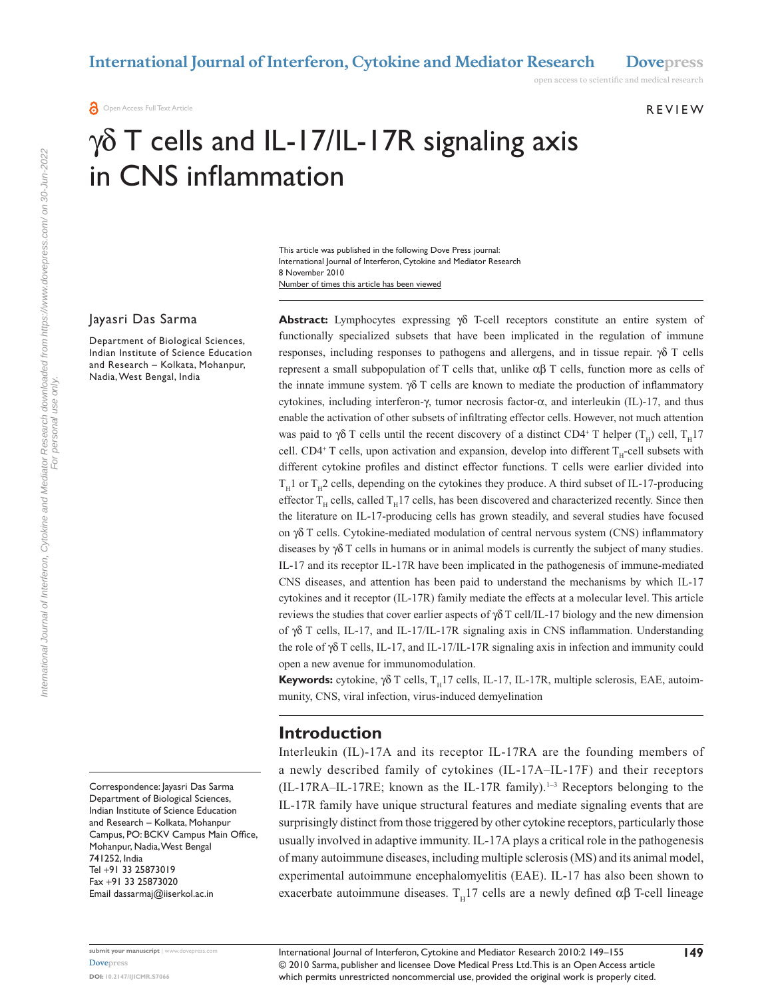**REVIEW** 

open access to scientific and medical research

# $\gamma\delta$  T cells and IL-17/IL-17R signaling axis in CNS inflammation

Number of times this article has been viewed This article was published in the following Dove Press journal: International Journal of Interferon, Cytokine and Mediator Research 8 November 2010

#### Jayasri Das Sarma

Department of Biological Sciences, Indian Institute of Science Education and Research – Kolkata, Mohanpur, Nadia, West Bengal, India

Correspondence: Jayasri Das Sarma Department of Biological Sciences, Indian Institute of Science Education and Research – Kolkata, Mohanpur Campus, PO: BCKV Campus Main Office, Mohanpur, Nadia, West Bengal 741252, India Tel +91 33 25873019 Fax +91 33 25873020 Email [dassarmaj@iiserkol.ac.in](mailto:dassarmaj@iiserkol.ac.in)

**Abstract:** Lymphocytes expressing γδ T-cell receptors constitute an entire system of functionally specialized subsets that have been implicated in the regulation of immune responses, including responses to pathogens and allergens, and in tissue repair. γδ T cells represent a small subpopulation of T cells that, unlike αβ T cells, function more as cells of the innate immune system.  $\gamma \delta$  T cells are known to mediate the production of inflammatory cytokines, including interferon-γ, tumor necrosis factor-α, and interleukin (IL)-17, and thus enable the activation of other subsets of infiltrating effector cells. However, not much attention was paid to  $\gamma\delta$  T cells until the recent discovery of a distinct CD4<sup>+</sup> T helper (T<sub>H</sub>) cell, T<sub>H</sub>17 cell. CD4<sup>+</sup> T cells, upon activation and expansion, develop into different  $T_H$ -cell subsets with different cytokine profiles and distinct effector functions. T cells were earlier divided into  $T_H1$  or  $T_H2$  cells, depending on the cytokines they produce. A third subset of IL-17-producing effector  $T_H$  cells, called  $T_H$ 17 cells, has been discovered and characterized recently. Since then the literature on IL-17-producing cells has grown steadily, and several studies have focused on γδ T cells. Cytokine-mediated modulation of central nervous system (CNS) inflammatory diseases by  $\gamma \delta T$  cells in humans or in animal models is currently the subject of many studies. IL-17 and its receptor IL-17R have been implicated in the pathogenesis of immune-mediated CNS diseases, and attention has been paid to understand the mechanisms by which IL-17 cytokines and it receptor (IL-17R) family mediate the effects at a molecular level. This article reviews the studies that cover earlier aspects of  $\gamma \delta T$  cell/IL-17 biology and the new dimension of γδ T cells, IL-17, and IL-17/IL-17R signaling axis in CNS inflammation. Understanding the role of γδ T cells, IL-17, and IL-17/IL-17R signaling axis in infection and immunity could open a new avenue for immunomodulation.

**Keywords:** cytokine,  $\gamma \delta$  T cells,  $T_H$ 17 cells, IL-17, IL-17R, multiple sclerosis, EAE, autoimmunity, CNS, viral infection, virus-induced demyelination

#### **Introduction**

Interleukin (IL)-17A and its receptor IL-17RA are the founding members of a newly described family of cytokines (IL-17A–IL-17F) and their receptors  $(IL-17RA–IL-17RE;$  known as the IL-17R family).<sup>1-3</sup> Receptors belonging to the IL-17R family have unique structural features and mediate signaling events that are surprisingly distinct from those triggered by other cytokine receptors, particularly those usually involved in adaptive immunity. IL-17A plays a critical role in the pathogenesis of many autoimmune diseases, including multiple sclerosis (MS) and its animal model, experimental autoimmune encephalomyelitis (EAE). IL-17 has also been shown to exacerbate autoimmune diseases.  $T_H17$  cells are a newly defined  $\alpha\beta$  T-cell lineage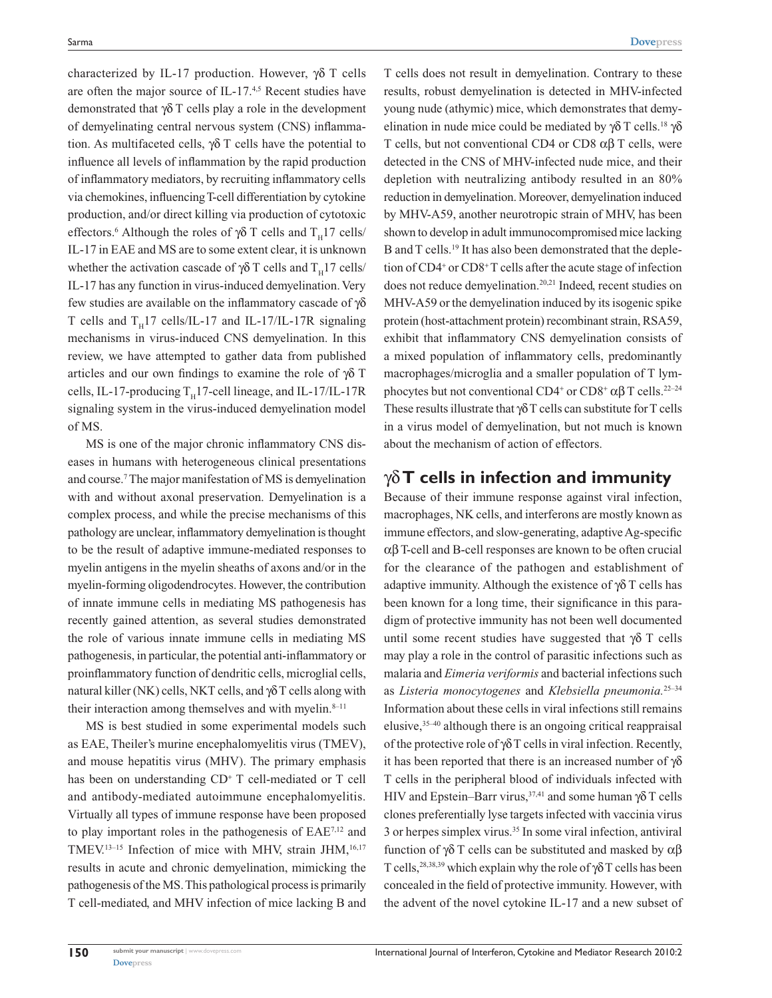characterized by IL-17 production. However, γδ T cells are often the major source of IL-17.<sup>4,5</sup> Recent studies have demonstrated that γδ T cells play a role in the development of demyelinating central nervous system (CNS) inflammation. As multifaceted cells,  $γδ T$  cells have the potential to influence all levels of inflammation by the rapid production of inflammatory mediators, by recruiting inflammatory cells via chemokines, influencing T-cell differentiation by cytokine production, and/or direct killing via production of cytotoxic effectors.<sup>6</sup> Although the roles of  $\gamma \delta$  T cells and T<sub>H</sub>17 cells/ IL-17 in EAE and MS are to some extent clear, it is unknown whether the activation cascade of  $\gamma \delta$  T cells and T<sub>H</sub>17 cells/ IL-17 has any function in virus-induced demyelination. Very few studies are available on the inflammatory cascade of γδ T cells and  $T_H17$  cells/IL-17 and IL-17/IL-17R signaling mechanisms in virus-induced CNS demyelination. In this review, we have attempted to gather data from published articles and our own findings to examine the role of  $\gamma\delta$  T cells, IL-17-producing  $T_H$ 17-cell lineage, and IL-17/IL-17R signaling system in the virus-induced demyelination model of MS.

MS is one of the major chronic inflammatory CNS diseases in humans with heterogeneous clinical presentations and course.7 The major manifestation of MS is demyelination with and without axonal preservation. Demyelination is a complex process, and while the precise mechanisms of this pathology are unclear, inflammatory demyelination is thought to be the result of adaptive immune-mediated responses to myelin antigens in the myelin sheaths of axons and/or in the myelin-forming oligodendrocytes. However, the contribution of innate immune cells in mediating MS pathogenesis has recently gained attention, as several studies demonstrated the role of various innate immune cells in mediating MS pathogenesis, in particular, the potential anti-inflammatory or proinflammatory function of dendritic cells, microglial cells, natural killer (NK) cells, NKT cells, and  $\gamma \delta T$  cells along with their interaction among themselves and with myelin. $8-11$ 

MS is best studied in some experimental models such as EAE, Theiler's murine encephalomyelitis virus (TMEV), and mouse hepatitis virus (MHV). The primary emphasis has been on understanding CD<sup>+</sup> T cell-mediated or T cell and antibody-mediated autoimmune encephalomyelitis. Virtually all types of immune response have been proposed to play important roles in the pathogenesis of EAE7,12 and TMEV.<sup>13-15</sup> Infection of mice with MHV, strain JHM,<sup>16,17</sup> results in acute and chronic demyelination, mimicking the pathogenesis of the MS. This pathological process is primarily T cell-mediated, and MHV infection of mice lacking B and

T cells does not result in demyelination. Contrary to these results, robust demyelination is detected in MHV-infected young nude (athymic) mice, which demonstrates that demyelination in nude mice could be mediated by  $\gamma \delta$  T cells.<sup>18</sup>  $\gamma \delta$ T cells, but not conventional CD4 or CD8  $\alpha\beta$  T cells, were detected in the CNS of MHV-infected nude mice, and their depletion with neutralizing antibody resulted in an 80% reduction in demyelination. Moreover, demyelination induced by MHV-A59, another neurotropic strain of MHV, has been shown to develop in adult immunocompromised mice lacking B and T cells.<sup>19</sup> It has also been demonstrated that the depletion of CD4<sup>+</sup> or CD8<sup>+</sup> T cells after the acute stage of infection does not reduce demyelination.<sup>20,21</sup> Indeed, recent studies on MHV-A59 or the demyelination induced by its isogenic spike protein (host-attachment protein) recombinant strain, RSA59, exhibit that inflammatory CNS demyelination consists of a mixed population of inflammatory cells, predominantly macrophages/microglia and a smaller population of T lymphocytes but not conventional CD4<sup>+</sup> or CD8<sup>+</sup> αβ T cells.<sup>22-24</sup> These results illustrate that  $\gamma \delta T$  cells can substitute for T cells in a virus model of demyelination, but not much is known about the mechanism of action of effectors.

## γδ **T cells in infection and immunity**

Because of their immune response against viral infection, macrophages, NK cells, and interferons are mostly known as immune effectors, and slow-generating, adaptive Ag-specific αβ T-cell and B-cell responses are known to be often crucial for the clearance of the pathogen and establishment of adaptive immunity. Although the existence of  $\gamma\delta$  T cells has been known for a long time, their significance in this paradigm of protective immunity has not been well documented until some recent studies have suggested that  $\gamma\delta$  T cells may play a role in the control of parasitic infections such as malaria and *Eimeria veriformis* and bacterial infections such as *Listeria monocytogenes* and *Klebsiella pneumonia.*25–34 Information about these cells in viral infections still remains elusive,35–40 although there is an ongoing critical reappraisal of the protective role of  $\gamma\delta T$  cells in viral infection. Recently, it has been reported that there is an increased number of γδ T cells in the peripheral blood of individuals infected with HIV and Epstein–Barr virus,<sup>37,41</sup> and some human γδ T cells clones preferentially lyse targets infected with vaccinia virus 3 or herpes simplex virus.35 In some viral infection, antiviral function of γδ T cells can be substituted and masked by αβ T cells,<sup>28,38,39</sup> which explain why the role of  $\gamma \delta$  T cells has been concealed in the field of protective immunity. However, with the advent of the novel cytokine IL-17 and a new subset of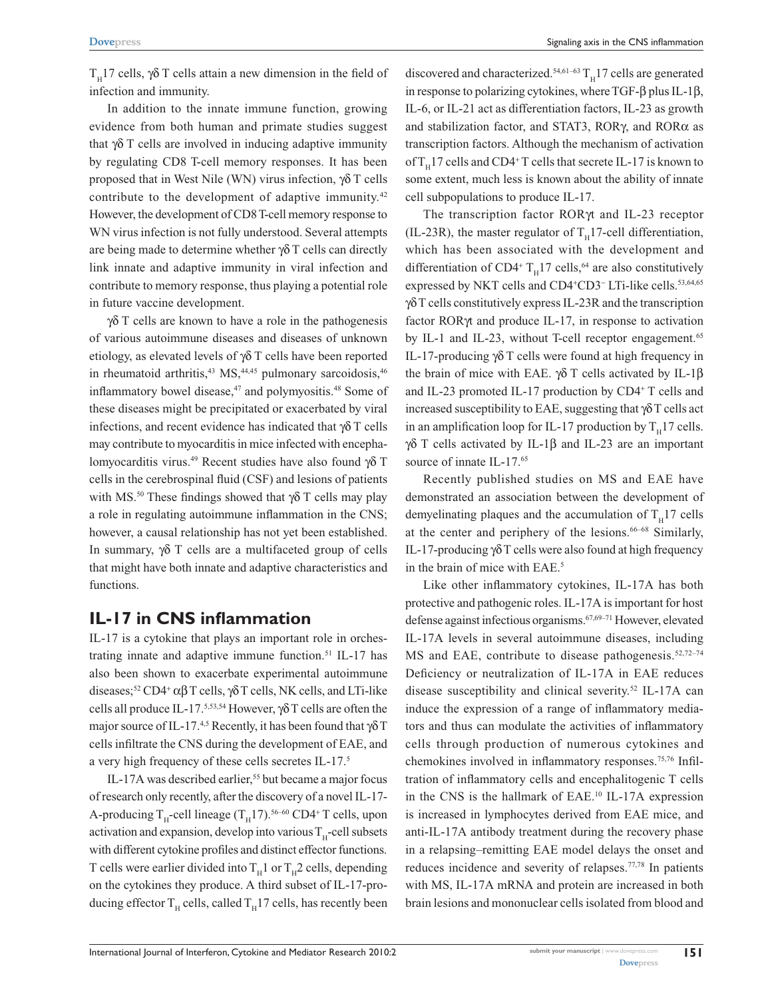$T<sub>H</sub>$ 17 cells, γδ T cells attain a new dimension in the field of infection and immunity.

In addition to the innate immune function, growing evidence from both human and primate studies suggest that γδ T cells are involved in inducing adaptive immunity by regulating CD8 T-cell memory responses. It has been proposed that in West Nile (WN) virus infection, γδ T cells contribute to the development of adaptive immunity.<sup>42</sup> However, the development of CD8 T-cell memory response to WN virus infection is not fully understood. Several attempts are being made to determine whether γδ T cells can directly link innate and adaptive immunity in viral infection and contribute to memory response, thus playing a potential role in future vaccine development.

γδ T cells are known to have a role in the pathogenesis of various autoimmune diseases and diseases of unknown etiology, as elevated levels of γδ T cells have been reported in rheumatoid arthritis,<sup>43</sup> MS,<sup>44,45</sup> pulmonary sarcoidosis,<sup>46</sup> inflammatory bowel disease,<sup>47</sup> and polymyositis.<sup>48</sup> Some of these diseases might be precipitated or exacerbated by viral infections, and recent evidence has indicated that  $\gamma \delta$  T cells may contribute to myocarditis in mice infected with encephalomyocarditis virus.49 Recent studies have also found γδ T cells in the cerebrospinal fluid (CSF) and lesions of patients with MS.<sup>50</sup> These findings showed that  $\gamma \delta$  T cells may play a role in regulating autoimmune inflammation in the CNS; however, a causal relationship has not yet been established. In summary, γδ T cells are a multifaceted group of cells that might have both innate and adaptive characteristics and functions.

# **IL-17 in CNS inflammation**

IL-17 is a cytokine that plays an important role in orchestrating innate and adaptive immune function.<sup>51</sup> IL-17 has also been shown to exacerbate experimental autoimmune diseases;<sup>52</sup> CD4<sup>+</sup> αβ T cells,  $\gamma$ δ T cells, NK cells, and LTi-like cells all produce IL-17.5,53,54 However, γδ T cells are often the major source of IL-17.<sup>4,5</sup> Recently, it has been found that  $\gamma \delta T$ cells infiltrate the CNS during the development of EAE, and a very high frequency of these cells secretes IL-17.5

IL-17A was described earlier,<sup>55</sup> but became a major focus of research only recently, after the discovery of a novel IL-17- A-producing  $T_H$ -cell lineage  $(T_H17)$ .<sup>56–60</sup> CD4<sup>+</sup> T cells, upon activation and expansion, develop into various  $T_{\text{u}}$ -cell subsets with different cytokine profiles and distinct effector functions. T cells were earlier divided into  $T_H1$  or  $T_H2$  cells, depending on the cytokines they produce. A third subset of IL-17-producing effector  $T_H$  cells, called  $T_H$ 17 cells, has recently been

discovered and characterized.<sup>54,61–63</sup>  $T_H$ 17 cells are generated in response to polarizing cytokines, where TGF-β plus IL-1β, IL-6, or IL-21 act as differentiation factors, IL-23 as growth and stabilization factor, and STAT3, RORγ, and RORα as transcription factors. Although the mechanism of activation of  $T_H$ 17 cells and CD4<sup>+</sup>T cells that secrete IL-17 is known to some extent, much less is known about the ability of innate cell subpopulations to produce IL-17.

The transcription factor RORγt and IL-23 receptor (IL-23R), the master regulator of  $T_H$ 17-cell differentiation, which has been associated with the development and differentiation of CD4<sup>+</sup>  $T_H$ 17 cells,<sup>64</sup> are also constitutively expressed by NKT cells and CD4<sup>+</sup>CD3<sup>-</sup> LTi-like cells.<sup>53,64,65</sup> γδ T cells constitutively express IL-23R and the transcription factor RORγt and produce IL-17, in response to activation by IL-1 and IL-23, without T-cell receptor engagement.<sup>65</sup> IL-17-producing γδ T cells were found at high frequency in the brain of mice with EAE. γδ T cells activated by IL-1β and IL-23 promoted IL-17 production by CD4<sup>+</sup> T cells and increased susceptibility to EAE, suggesting that  $\gamma\delta T$  cells act in an amplification loop for IL-17 production by  $T_H$ 17 cells. γδ T cells activated by IL-1 $\beta$  and IL-23 are an important source of innate IL-17.<sup>65</sup>

Recently published studies on MS and EAE have demonstrated an association between the development of demyelinating plaques and the accumulation of  $T<sub>u</sub>17$  cells at the center and periphery of the lesions.<sup>66-68</sup> Similarly, IL-17-producing γδ T cells were also found at high frequency in the brain of mice with EAE.<sup>5</sup>

Like other inflammatory cytokines, IL-17A has both protective and pathogenic roles. IL-17A is important for host defense against infectious organisms.67,69–71 However, elevated IL-17A levels in several autoimmune diseases, including MS and EAE, contribute to disease pathogenesis. $52,72-74$ Deficiency or neutralization of IL-17A in EAE reduces disease susceptibility and clinical severity.52 IL-17A can induce the expression of a range of inflammatory mediators and thus can modulate the activities of inflammatory cells through production of numerous cytokines and chemokines involved in inflammatory responses.75,76 Infiltration of inflammatory cells and encephalitogenic T cells in the CNS is the hallmark of EAE.<sup>10</sup> IL-17A expression is increased in lymphocytes derived from EAE mice, and anti-IL-17A antibody treatment during the recovery phase in a relapsing–remitting EAE model delays the onset and reduces incidence and severity of relapses.77,78 In patients with MS, IL-17A mRNA and protein are increased in both brain lesions and mononuclear cells isolated from blood and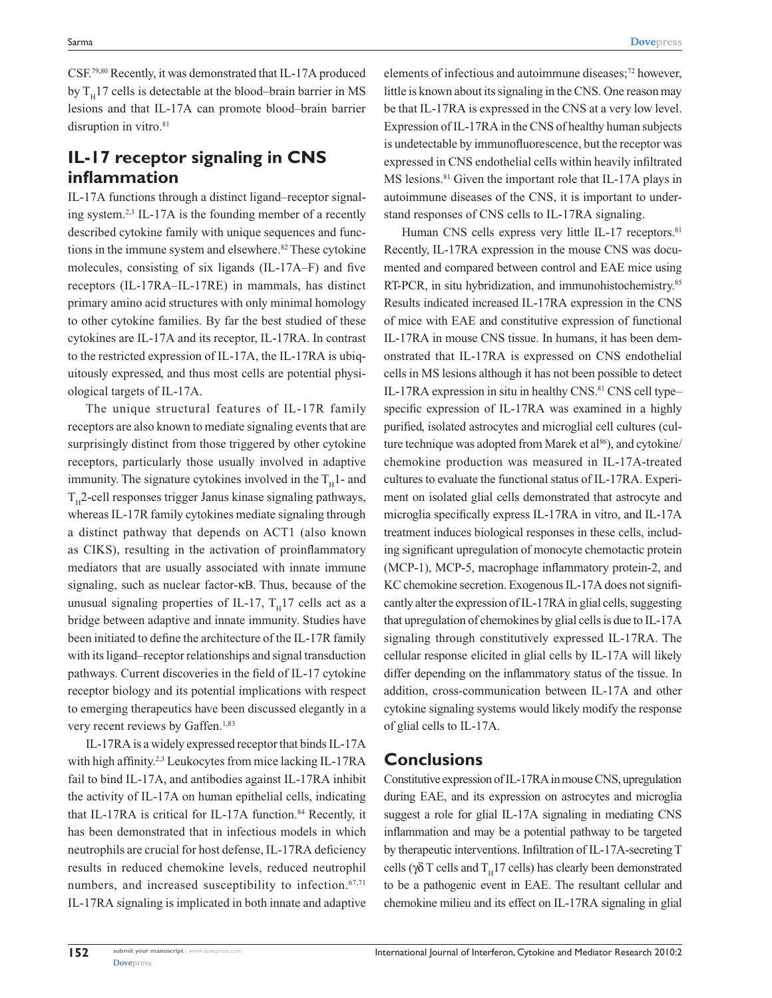CSF.79,80 Recently, it was demonstrated that IL-17A produced by  $T_H$ 17 cells is detectable at the blood–brain barrier in MS lesions and that IL-17A can promote blood–brain barrier disruption in vitro.<sup>81</sup>

# **IL-17 receptor signaling in CNS inflammation**

IL-17A functions through a distinct ligand–receptor signaling system.2,3 IL-17A is the founding member of a recently described cytokine family with unique sequences and functions in the immune system and elsewhere.<sup>82</sup> These cytokine molecules, consisting of six ligands (IL-17A–F) and five receptors (IL-17RA–IL-17RE) in mammals, has distinct primary amino acid structures with only minimal homology to other cytokine families. By far the best studied of these cytokines are IL-17A and its receptor, IL-17RA. In contrast to the restricted expression of IL-17A, the IL-17RA is ubiquitously expressed, and thus most cells are potential physiological targets of IL-17A.

The unique structural features of IL-17R family receptors are also known to mediate signaling events that are surprisingly distinct from those triggered by other cytokine receptors, particularly those usually involved in adaptive immunity. The signature cytokines involved in the  $T_H$ 1- and  $T<sub>H</sub>$ 2-cell responses trigger Janus kinase signaling pathways, whereas IL-17R family cytokines mediate signaling through a distinct pathway that depends on ACT1 (also known as CIKS), resulting in the activation of proinflammatory mediators that are usually associated with innate immune signaling, such as nuclear factor-κB. Thus, because of the unusual signaling properties of IL-17,  $T_H$ 17 cells act as a bridge between adaptive and innate immunity. Studies have been initiated to define the architecture of the IL-17R family with its ligand–receptor relationships and signal transduction pathways. Current discoveries in the field of IL-17 cytokine receptor biology and its potential implications with respect to emerging therapeutics have been discussed elegantly in a very recent reviews by Gaffen.<sup>1,83</sup>

IL-17RA is a widely expressed receptor that binds IL-17A with high affinity.<sup>2,3</sup> Leukocytes from mice lacking IL-17RA fail to bind IL-17A, and antibodies against IL-17RA inhibit the activity of IL-17A on human epithelial cells, indicating that IL-17RA is critical for IL-17A function. $84$  Recently, it has been demonstrated that in infectious models in which neutrophils are crucial for host defense, IL-17RA deficiency results in reduced chemokine levels, reduced neutrophil numbers, and increased susceptibility to infection.<sup>67,71</sup> IL-17RA signaling is implicated in both innate and adaptive elements of infectious and autoimmune diseases;<sup>72</sup> however, little is known about its signaling in the CNS. One reason may be that IL-17RA is expressed in the CNS at a very low level. Expression of IL-17RA in the CNS of healthy human subjects is undetectable by immunofluorescence, but the receptor was expressed in CNS endothelial cells within heavily infiltrated MS lesions.<sup>81</sup> Given the important role that IL-17A plays in autoimmune diseases of the CNS, it is important to understand responses of CNS cells to IL-17RA signaling.

Human CNS cells express very little IL-17 receptors.<sup>81</sup> Recently, IL-17RA expression in the mouse CNS was documented and compared between control and EAE mice using RT-PCR, in situ hybridization, and immunohistochemistry.<sup>85</sup> Results indicated increased IL-17RA expression in the CNS of mice with EAE and constitutive expression of functional IL-17RA in mouse CNS tissue. In humans, it has been demonstrated that IL-17RA is expressed on CNS endothelial cells in MS lesions although it has not been possible to detect IL-17RA expression in situ in healthy CNS.<sup>81</sup> CNS cell type– specific expression of IL-17RA was examined in a highly purified, isolated astrocytes and microglial cell cultures (culture technique was adopted from Marek et al<sup>86</sup>), and cytokine/ chemokine production was measured in IL-17A-treated cultures to evaluate the functional status of IL-17RA. Experiment on isolated glial cells demonstrated that astrocyte and microglia specifically express IL-17RA in vitro, and IL-17A treatment induces biological responses in these cells, including significant upregulation of monocyte chemotactic protein (MCP-1), MCP-5, macrophage inflammatory protein-2, and KC chemokine secretion. Exogenous IL-17A does not significantly alter the expression of IL-17RA in glial cells, suggesting that upregulation of chemokines by glial cells is due to IL-17A signaling through constitutively expressed IL-17RA. The cellular response elicited in glial cells by IL-17A will likely differ depending on the inflammatory status of the tissue. In addition, cross-communication between IL-17A and other cytokine signaling systems would likely modify the response of glial cells to IL-17A.

#### **Conclusions**

Constitutive expression of IL-17RA in mouse CNS, upregulation during EAE, and its expression on astrocytes and microglia suggest a role for glial IL-17A signaling in mediating CNS inflammation and may be a potential pathway to be targeted by therapeutic interventions. Infiltration of IL-17A-secreting T cells ( $\gamma \delta$  T cells and T<sub>H</sub>17 cells) has clearly been demonstrated to be a pathogenic event in EAE. The resultant cellular and chemokine milieu and its effect on IL-17RA signaling in glial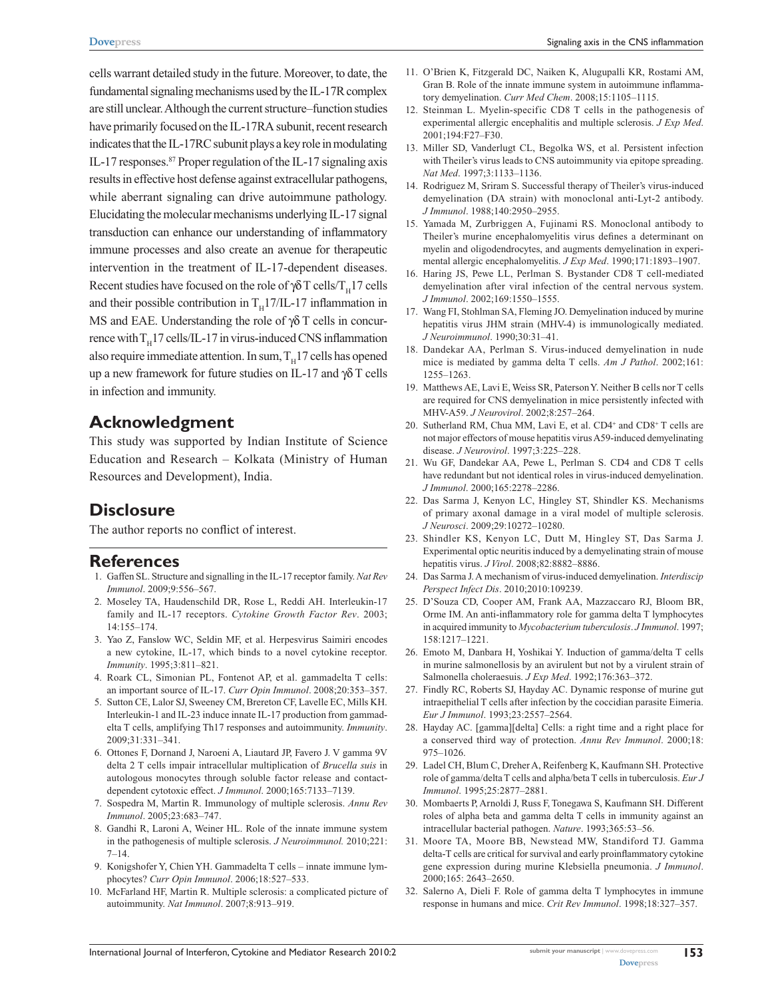cells warrant detailed study in the future. Moreover, to date, the fundamental signaling mechanisms used by the IL-17R complex are still unclear. Although the current structure–function studies have primarily focused on the IL-17RA subunit, recent research indicates that the IL-17RC subunit plays a key role in modulating IL-17 responses.<sup>87</sup> Proper regulation of the IL-17 signaling axis results in effective host defense against extracellular pathogens, while aberrant signaling can drive autoimmune pathology. Elucidating the molecular mechanisms underlying IL-17 signal transduction can enhance our understanding of inflammatory immune processes and also create an avenue for therapeutic intervention in the treatment of IL-17-dependent diseases. Recent studies have focused on the role of  $\gamma \delta T$  cells/T<sub>H</sub>17 cells and their possible contribution in  $T_H17/IL-17$  inflammation in MS and EAE. Understanding the role of  $\gamma \delta$  T cells in concurrence with  $T_H$ 17 cells/IL-17 in virus-induced CNS inflammation also require immediate attention. In sum,  $T_H17$  cells has opened up a new framework for future studies on IL-17 and γδ T cells in infection and immunity.

## **Acknowledgment**

This study was supported by Indian Institute of Science Education and Research – Kolkata (Ministry of Human Resources and Development), India.

# **Disclosure**

The author reports no conflict of interest.

#### **References**

- 1. Gaffen SL. Structure and signalling in the IL-17 receptor family. *Nat Rev Immunol*. 2009;9:556–567.
- 2. Moseley TA, Haudenschild DR, Rose L, Reddi AH. Interleukin-17 family and IL-17 receptors. *Cytokine Growth Factor Rev*. 2003; 14:155–174.
- 3. Yao Z, Fanslow WC, Seldin MF, et al. Herpesvirus Saimiri encodes a new cytokine, IL-17, which binds to a novel cytokine receptor. *Immunity*. 1995;3:811–821.
- 4. Roark CL, Simonian PL, Fontenot AP, et al. gammadelta T cells: an important source of IL-17. *Curr Opin Immunol*. 2008;20:353–357.
- 5. Sutton CE, Lalor SJ, Sweeney CM, Brereton CF, Lavelle EC, Mills KH. Interleukin-1 and IL-23 induce innate IL-17 production from gammadelta T cells, amplifying Th17 responses and autoimmunity. *Immunity*. 2009;31:331–341.
- 6. Ottones F, Dornand J, Naroeni A, Liautard JP, Favero J. V gamma 9V delta 2 T cells impair intracellular multiplication of *Brucella suis* in autologous monocytes through soluble factor release and contactdependent cytotoxic effect. *J Immunol*. 2000;165:7133–7139.
- 7. Sospedra M, Martin R. Immunology of multiple sclerosis. *Annu Rev Immunol*. 2005;23:683–747.
- 8. Gandhi R, Laroni A, Weiner HL. Role of the innate immune system in the pathogenesis of multiple sclerosis. *J Neuroimmunol.* 2010;221: 7–14.
- 9. Konigshofer Y, Chien YH. Gammadelta T cells innate immune lymphocytes? *Curr Opin Immunol*. 2006;18:527–533.
- 10. McFarland HF, Martin R. Multiple sclerosis: a complicated picture of autoimmunity. *Nat Immunol*. 2007;8:913–919.
- 11. O'Brien K, Fitzgerald DC, Naiken K, Alugupalli KR, Rostami AM, Gran B. Role of the innate immune system in autoimmune inflammatory demyelination. *Curr Med Chem*. 2008;15:1105–1115.
- 12. Steinman L. Myelin-specific CD8 T cells in the pathogenesis of experimental allergic encephalitis and multiple sclerosis. *J Exp Med*. 2001;194:F27–F30.
- 13. Miller SD, Vanderlugt CL, Begolka WS, et al. Persistent infection with Theiler's virus leads to CNS autoimmunity via epitope spreading. *Nat Med*. 1997;3:1133–1136.
- 14. Rodriguez M, Sriram S. Successful therapy of Theiler's virus-induced demyelination (DA strain) with monoclonal anti-Lyt-2 antibody. *J Immunol*. 1988;140:2950–2955.
- 15. Yamada M, Zurbriggen A, Fujinami RS. Monoclonal antibody to Theiler's murine encephalomyelitis virus defines a determinant on myelin and oligodendrocytes, and augments demyelination in experimental allergic encephalomyelitis. *J Exp Med*. 1990;171:1893–1907.
- 16. Haring JS, Pewe LL, Perlman S. Bystander CD8 T cell-mediated demyelination after viral infection of the central nervous system. *J Immunol*. 2002;169:1550–1555.
- 17. Wang FI, Stohlman SA, Fleming JO. Demyelination induced by murine hepatitis virus JHM strain (MHV-4) is immunologically mediated. *J Neuroimmunol*. 1990;30:31–41.
- 18. Dandekar AA, Perlman S. Virus-induced demyelination in nude mice is mediated by gamma delta T cells. *Am J Pathol*. 2002;161: 1255–1263.
- 19. Matthews AE, Lavi E, Weiss SR, Paterson Y. Neither B cells nor T cells are required for CNS demyelination in mice persistently infected with MHV-A59. *J Neurovirol*. 2002;8:257–264.
- 20. Sutherland RM, Chua MM, Lavi E, et al. CD4<sup>+</sup> and CD8<sup>+</sup> T cells are not major effectors of mouse hepatitis virus A59-induced demyelinating disease. *J Neurovirol*. 1997;3:225–228.
- 21. Wu GF, Dandekar AA, Pewe L, Perlman S. CD4 and CD8 T cells have redundant but not identical roles in virus-induced demyelination. *J Immunol*. 2000;165:2278–2286.
- 22. Das Sarma J, Kenyon LC, Hingley ST, Shindler KS. Mechanisms of primary axonal damage in a viral model of multiple sclerosis. *J Neurosci*. 2009;29:10272–10280.
- 23. Shindler KS, Kenyon LC, Dutt M, Hingley ST, Das Sarma J. Experimental optic neuritis induced by a demyelinating strain of mouse hepatitis virus. *J Virol*. 2008;82:8882–8886.
- 24. Das Sarma J. A mechanism of virus-induced demyelination. *Interdiscip Perspect Infect Dis*. 2010;2010:109239.
- 25. D'Souza CD, Cooper AM, Frank AA, Mazzaccaro RJ, Bloom BR, Orme IM. An anti-inflammatory role for gamma delta T lymphocytes in acquired immunity to *Mycobacterium tuberculosis*. *J Immunol*. 1997; 158:1217–1221.
- 26. Emoto M, Danbara H, Yoshikai Y. Induction of gamma/delta T cells in murine salmonellosis by an avirulent but not by a virulent strain of Salmonella choleraesuis. *J Exp Med*. 1992;176:363–372.
- 27. Findly RC, Roberts SJ, Hayday AC. Dynamic response of murine gut intraepithelial T cells after infection by the coccidian parasite Eimeria. *Eur J Immunol*. 1993;23:2557–2564.
- 28. Hayday AC. [gamma][delta] Cells: a right time and a right place for a conserved third way of protection. *Annu Rev Immunol*. 2000;18: 975–1026.
- 29. Ladel CH, Blum C, Dreher A, Reifenberg K, Kaufmann SH. Protective role of gamma/delta T cells and alpha/beta T cells in tuberculosis. *Eur J Immunol*. 1995;25:2877–2881.
- 30. Mombaerts P, Arnoldi J, Russ F, Tonegawa S, Kaufmann SH. Different roles of alpha beta and gamma delta T cells in immunity against an intracellular bacterial pathogen. *Nature*. 1993;365:53–56.
- 31. Moore TA, Moore BB, Newstead MW, Standiford TJ. Gamma delta-T cells are critical for survival and early proinflammatory cytokine gene expression during murine Klebsiella pneumonia. *J Immunol*. 2000;165: 2643–2650.
- 32. Salerno A, Dieli F. Role of gamma delta T lymphocytes in immune response in humans and mice. *Crit Rev Immunol*. 1998;18:327–357.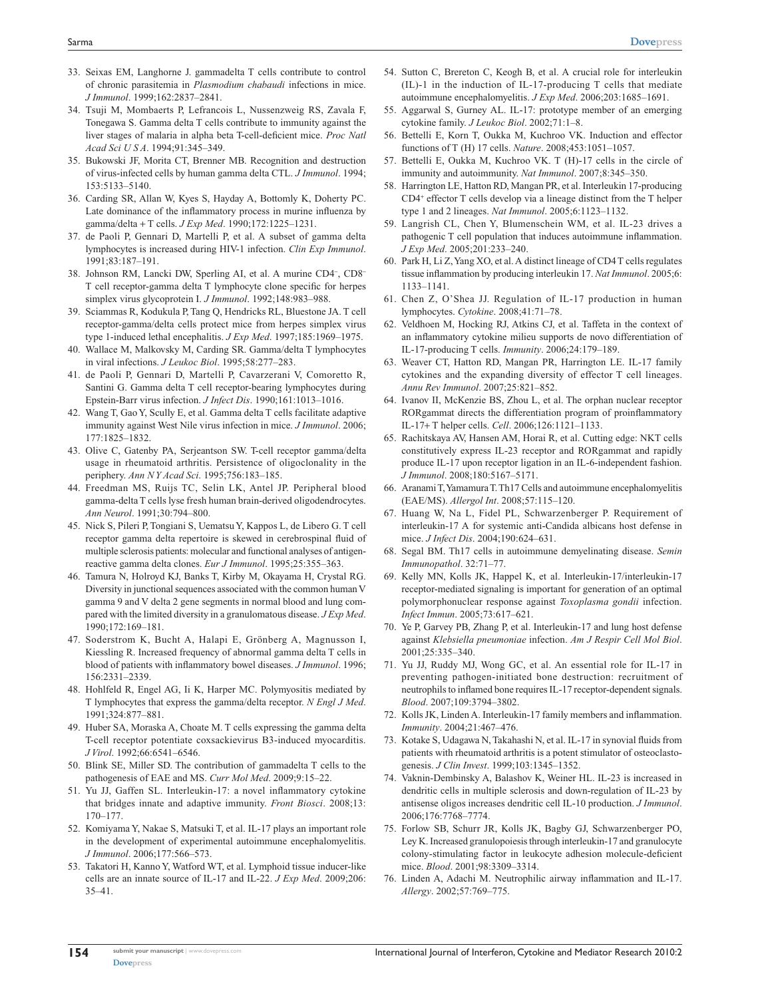- 33. Seixas EM, Langhorne J. gammadelta T cells contribute to control of chronic parasitemia in *Plasmodium chabaudi* infections in mice. *J Immunol*. 1999;162:2837–2841.
- 34. Tsuji M, Mombaerts P, Lefrancois L, Nussenzweig RS, Zavala F, Tonegawa S. Gamma delta T cells contribute to immunity against the liver stages of malaria in alpha beta T-cell-deficient mice. *Proc Natl Acad Sci U S A*. 1994;91:345–349.
- 35. Bukowski JF, Morita CT, Brenner MB. Recognition and destruction of virus-infected cells by human gamma delta CTL. *J Immunol*. 1994; 153:5133–5140.
- 36. Carding SR, Allan W, Kyes S, Hayday A, Bottomly K, Doherty PC. Late dominance of the inflammatory process in murine influenza by gamma/delta + T cells. *J Exp Med*. 1990;172:1225–1231.
- 37. de Paoli P, Gennari D, Martelli P, et al. A subset of gamma delta lymphocytes is increased during HIV-1 infection. *Clin Exp Immunol*. 1991;83:187–191.
- 38. Johnson RM, Lancki DW, Sperling AI, et al. A murine CD4<sup>−</sup> , CD8<sup>−</sup> T cell receptor-gamma delta T lymphocyte clone specific for herpes simplex virus glycoprotein I. *J Immunol*. 1992;148:983–988.
- 39. Sciammas R, Kodukula P, Tang Q, Hendricks RL, Bluestone JA. T cell receptor-gamma/delta cells protect mice from herpes simplex virus type 1-induced lethal encephalitis. *J Exp Med*. 1997;185:1969–1975.
- 40. Wallace M, Malkovsky M, Carding SR. Gamma/delta T lymphocytes in viral infections. *J Leukoc Biol*. 1995;58:277–283.
- 41. de Paoli P, Gennari D, Martelli P, Cavarzerani V, Comoretto R, Santini G. Gamma delta T cell receptor-bearing lymphocytes during Epstein-Barr virus infection. *J Infect Dis*. 1990;161:1013–1016.
- 42. Wang T, Gao Y, Scully E, et al. Gamma delta T cells facilitate adaptive immunity against West Nile virus infection in mice. *J Immunol*. 2006; 177:1825–1832.
- 43. Olive C, Gatenby PA, Serjeantson SW. T-cell receptor gamma/delta usage in rheumatoid arthritis. Persistence of oligoclonality in the periphery. *Ann N Y Acad Sci*. 1995;756:183–185.
- 44. Freedman MS, Ruijs TC, Selin LK, Antel JP. Peripheral blood gamma-delta T cells lyse fresh human brain-derived oligodendrocytes. *Ann Neurol*. 1991;30:794–800.
- 45. Nick S, Pileri P, Tongiani S, Uematsu Y, Kappos L, de Libero G. T cell receptor gamma delta repertoire is skewed in cerebrospinal fluid of multiple sclerosis patients: molecular and functional analyses of antigenreactive gamma delta clones. *Eur J Immunol*. 1995;25:355–363.
- 46. Tamura N, Holroyd KJ, Banks T, Kirby M, Okayama H, Crystal RG. Diversity in junctional sequences associated with the common human V gamma 9 and V delta 2 gene segments in normal blood and lung compared with the limited diversity in a granulomatous disease. *J Exp Med*. 1990;172:169–181.
- 47. Soderstrom K, Bucht A, Halapi E, Grönberg A, Magnusson I, Kiessling R. Increased frequency of abnormal gamma delta T cells in blood of patients with inflammatory bowel diseases. *J Immunol*. 1996; 156:2331–2339.
- 48. Hohlfeld R, Engel AG, Ii K, Harper MC. Polymyositis mediated by T lymphocytes that express the gamma/delta receptor. *N Engl J Med*. 1991;324:877–881.
- 49. Huber SA, Moraska A, Choate M. T cells expressing the gamma delta T-cell receptor potentiate coxsackievirus B3-induced myocarditis. *J Virol*. 1992;66:6541–6546.
- 50. Blink SE, Miller SD. The contribution of gammadelta T cells to the pathogenesis of EAE and MS. *Curr Mol Med*. 2009;9:15–22.
- 51. Yu JJ, Gaffen SL. Interleukin-17: a novel inflammatory cytokine that bridges innate and adaptive immunity. *Front Biosci*. 2008;13: 170–177.
- 52. Komiyama Y, Nakae S, Matsuki T, et al. IL-17 plays an important role in the development of experimental autoimmune encephalomyelitis. *J Immunol*. 2006;177:566–573.
- 53. Takatori H, Kanno Y, Watford WT, et al. Lymphoid tissue inducer-like cells are an innate source of IL-17 and IL-22. *J Exp Med*. 2009;206: 35–41.
- 54. Sutton C, Brereton C, Keogh B, et al. A crucial role for interleukin (IL)-1 in the induction of IL-17-producing T cells that mediate autoimmune encephalomyelitis. *J Exp Med*. 2006;203:1685–1691.
- 55. Aggarwal S, Gurney AL. IL-17: prototype member of an emerging cytokine family. *J Leukoc Biol*. 2002;71:1–8.
- 56. Bettelli E, Korn T, Oukka M, Kuchroo VK. Induction and effector functions of T (H) 17 cells. *Nature*. 2008;453:1051–1057.
- 57. Bettelli E, Oukka M, Kuchroo VK. T (H)-17 cells in the circle of immunity and autoimmunity. *Nat Immunol*. 2007;8:345–350.
- 58. Harrington LE, Hatton RD, Mangan PR, et al. Interleukin 17-producing CD4<sup>+</sup> effector T cells develop via a lineage distinct from the T helper type 1 and 2 lineages. *Nat Immunol*. 2005;6:1123–1132.
- 59. Langrish CL, Chen Y, Blumenschein WM, et al. IL-23 drives a pathogenic T cell population that induces autoimmune inflammation. *J Exp Med*. 2005;201:233–240.
- 60. Park H, Li Z, Yang XO, et al. A distinct lineage of CD4 T cells regulates tissue inflammation by producing interleukin 17. *Nat Immunol*. 2005;6: 1133–1141.
- 61. Chen Z, O'Shea JJ. Regulation of IL-17 production in human lymphocytes. *Cytokine*. 2008;41:71–78.
- 62. Veldhoen M, Hocking RJ, Atkins CJ, et al. Taffeta in the context of an inflammatory cytokine milieu supports de novo differentiation of IL-17-producing T cells. *Immunity*. 2006;24:179–189.
- 63. Weaver CT, Hatton RD, Mangan PR, Harrington LE. IL-17 family cytokines and the expanding diversity of effector T cell lineages. *Annu Rev Immunol*. 2007;25:821–852.
- 64. Ivanov II, McKenzie BS, Zhou L, et al. The orphan nuclear receptor RORgammat directs the differentiation program of proinflammatory IL-17+ T helper cells. *Cell*. 2006;126:1121–1133.
- 65. Rachitskaya AV, Hansen AM, Horai R, et al. Cutting edge: NKT cells constitutively express IL-23 receptor and RORgammat and rapidly produce IL-17 upon receptor ligation in an IL-6-independent fashion. *J Immunol*. 2008;180:5167–5171.
- 66. Aranami T, Yamamura T. Th17 Cells and autoimmune encephalomyelitis (EAE/MS). *Allergol Int*. 2008;57:115–120.
- 67. Huang W, Na L, Fidel PL, Schwarzenberger P. Requirement of interleukin-17 A for systemic anti-Candida albicans host defense in mice. *J Infect Dis*. 2004;190:624–631.
- 68. Segal BM. Th17 cells in autoimmune demyelinating disease. *Semin Immunopathol*. 32:71–77.
- 69. Kelly MN, Kolls JK, Happel K, et al. Interleukin-17/interleukin-17 receptor-mediated signaling is important for generation of an optimal polymorphonuclear response against *Toxoplasma gondii* infection. *Infect Immun*. 2005;73:617–621.
- 70. Ye P, Garvey PB, Zhang P, et al. Interleukin-17 and lung host defense against *Klebsiella pneumoniae* infection. *Am J Respir Cell Mol Biol*. 2001;25:335–340.
- 71. Yu JJ, Ruddy MJ, Wong GC, et al. An essential role for IL-17 in preventing pathogen-initiated bone destruction: recruitment of neutrophils to inflamed bone requires IL-17 receptor-dependent signals. *Blood*. 2007;109:3794–3802.
- 72. Kolls JK, Linden A. Interleukin-17 family members and inflammation. *Immunity*. 2004;21:467–476.
- 73. Kotake S, Udagawa N, Takahashi N, et al. IL-17 in synovial fluids from patients with rheumatoid arthritis is a potent stimulator of osteoclastogenesis. *J Clin Invest*. 1999;103:1345–1352.
- Vaknin-Dembinsky A, Balashov K, Weiner HL. IL-23 is increased in dendritic cells in multiple sclerosis and down-regulation of IL-23 by antisense oligos increases dendritic cell IL-10 production. *J Immunol*. 2006;176:7768–7774.
- 75. Forlow SB, Schurr JR, Kolls JK, Bagby GJ, Schwarzenberger PO, Ley K. Increased granulopoiesis through interleukin-17 and granulocyte colony-stimulating factor in leukocyte adhesion molecule-deficient mice. *Blood*. 2001;98:3309–3314.
- 76. Linden A, Adachi M. Neutrophilic airway inflammation and IL-17. *Allergy*. 2002;57:769–775.